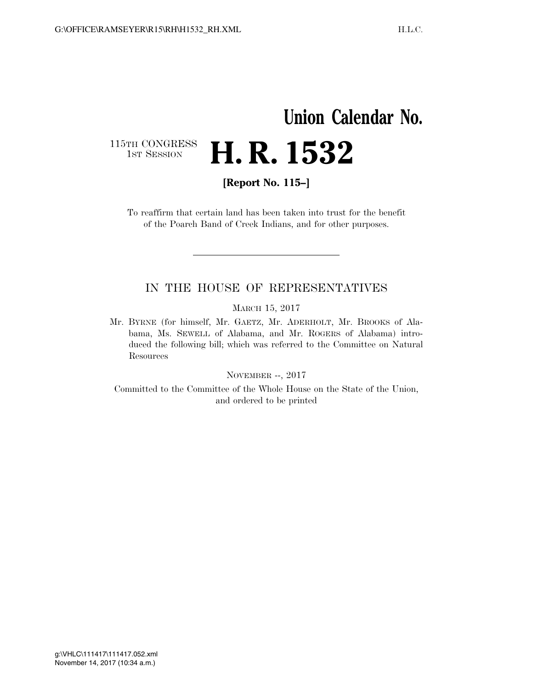## **Union Calendar No.**  115TH CONGRESS<br>1st Session H. R. 1532

**[Report No. 115–]** 

To reaffirm that certain land has been taken into trust for the benefit of the Poarch Band of Creek Indians, and for other purposes.

### IN THE HOUSE OF REPRESENTATIVES

MARCH 15, 2017

Mr. BYRNE (for himself, Mr. GAETZ, Mr. ADERHOLT, Mr. BROOKS of Alabama, Ms. SEWELL of Alabama, and Mr. ROGERS of Alabama) introduced the following bill; which was referred to the Committee on Natural Resources

NOVEMBER --, 2017

Committed to the Committee of the Whole House on the State of the Union, and ordered to be printed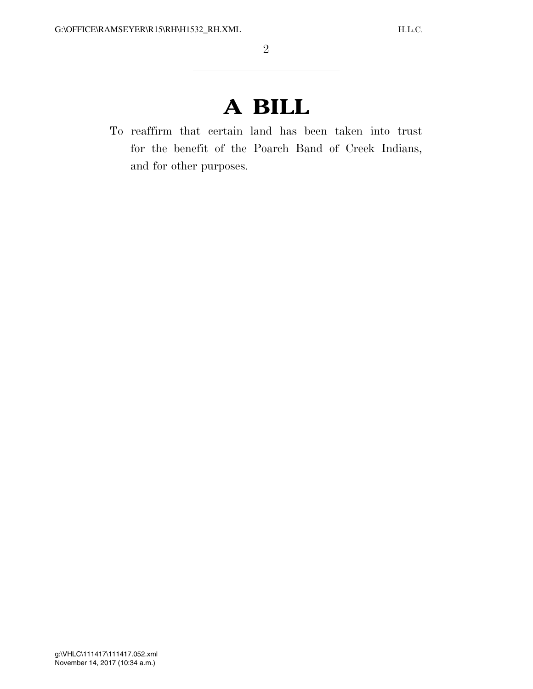# **A BILL**

To reaffirm that certain land has been taken into trust for the benefit of the Poarch Band of Creek Indians, and for other purposes.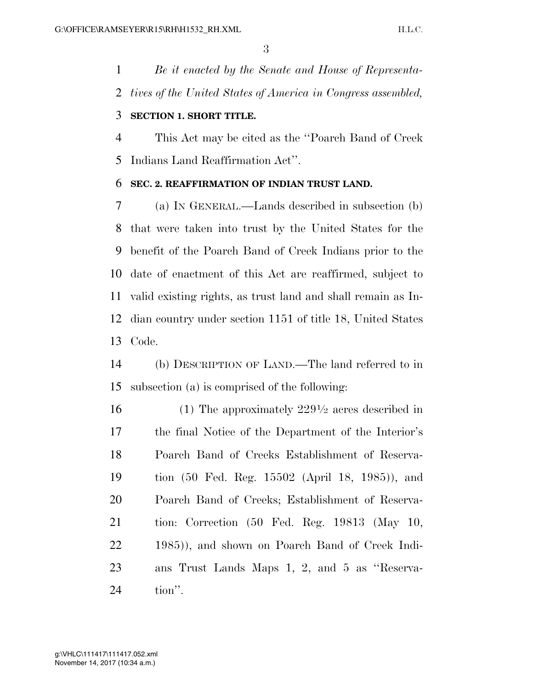*Be it enacted by the Senate and House of Representa-tives of the United States of America in Congress assembled,* 

### **SECTION 1. SHORT TITLE.**

 This Act may be cited as the ''Poarch Band of Creek Indians Land Reaffirmation Act''.

### **SEC. 2. REAFFIRMATION OF INDIAN TRUST LAND.**

 (a) IN GENERAL.—Lands described in subsection (b) that were taken into trust by the United States for the benefit of the Poarch Band of Creek Indians prior to the date of enactment of this Act are reaffirmed, subject to valid existing rights, as trust land and shall remain as In- dian country under section 1151 of title 18, United States Code.

 (b) DESCRIPTION OF LAND.—The land referred to in subsection (a) is comprised of the following:

 $(1)$  The approximately  $229\frac{1}{2}$  acres described in the final Notice of the Department of the Interior's Poarch Band of Creeks Establishment of Reserva- tion (50 Fed. Reg. 15502 (April 18, 1985)), and Poarch Band of Creeks; Establishment of Reserva- tion: Correction (50 Fed. Reg. 19813 (May 10, 1985)), and shown on Poarch Band of Creek Indi- ans Trust Lands Maps 1, 2, and 5 as ''Reserva-tion''.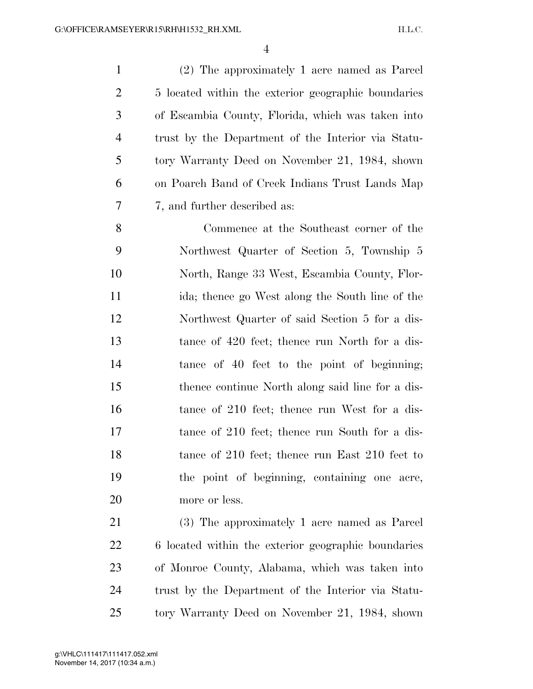(2) The approximately 1 acre named as Parcel 5 located within the exterior geographic boundaries of Escambia County, Florida, which was taken into trust by the Department of the Interior via Statu- tory Warranty Deed on November 21, 1984, shown on Poarch Band of Creek Indians Trust Lands Map 7, and further described as:

 Commence at the Southeast corner of the Northwest Quarter of Section 5, Township 5 North, Range 33 West, Escambia County, Flor- ida; thence go West along the South line of the Northwest Quarter of said Section 5 for a dis- tance of 420 feet; thence run North for a dis- tance of 40 feet to the point of beginning; thence continue North along said line for a dis-16 tance of 210 feet; thence run West for a dis-17 tance of 210 feet; thence run South for a dis-18 tance of 210 feet; thence run East 210 feet to the point of beginning, containing one acre, more or less.

 (3) The approximately 1 acre named as Parcel 6 located within the exterior geographic boundaries of Monroe County, Alabama, which was taken into trust by the Department of the Interior via Statu-tory Warranty Deed on November 21, 1984, shown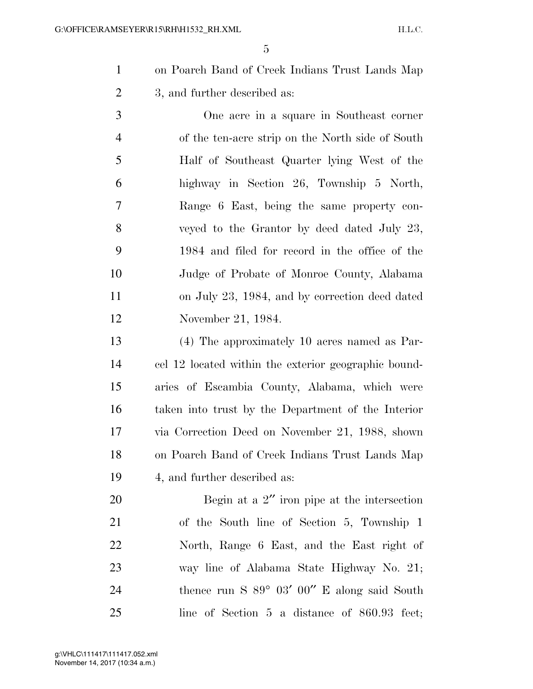on Poarch Band of Creek Indians Trust Lands Map 3, and further described as:

 One acre in a square in Southeast corner of the ten-acre strip on the North side of South Half of Southeast Quarter lying West of the highway in Section 26, Township 5 North, Range 6 East, being the same property con- veyed to the Grantor by deed dated July 23, 1984 and filed for record in the office of the Judge of Probate of Monroe County, Alabama on July 23, 1984, and by correction deed dated November 21, 1984.

 (4) The approximately 10 acres named as Par- cel 12 located within the exterior geographic bound- aries of Escambia County, Alabama, which were taken into trust by the Department of the Interior via Correction Deed on November 21, 1988, shown on Poarch Band of Creek Indians Trust Lands Map 4, and further described as:

20 Begin at a 2" iron pipe at the intersection of the South line of Section 5, Township 1 North, Range 6 East, and the East right of way line of Alabama State Highway No. 21; 24 thence run S  $89^{\circ}$  03' 00" E along said South line of Section 5 a distance of 860.93 feet;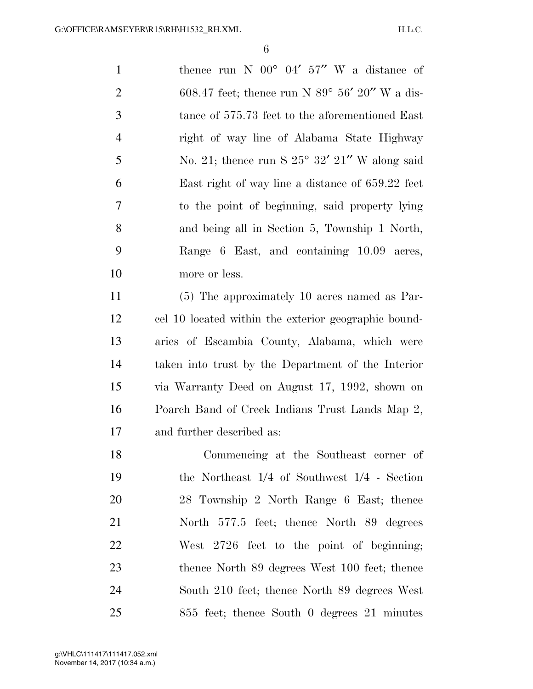1 thence run N  $00^{\circ}$  04' 57" W a distance of 2 608.47 feet; thence run N  $89^{\circ}$  56' 20" W a dis- tance of 575.73 feet to the aforementioned East right of way line of Alabama State Highway 5 No. 21; thence run S  $25^{\circ}$  32' 21" W along said East right of way line a distance of 659.22 feet to the point of beginning, said property lying and being all in Section 5, Township 1 North, Range 6 East, and containing 10.09 acres, more or less. (5) The approximately 10 acres named as Par-

 cel 10 located within the exterior geographic bound- aries of Escambia County, Alabama, which were taken into trust by the Department of the Interior via Warranty Deed on August 17, 1992, shown on Poarch Band of Creek Indians Trust Lands Map 2, and further described as:

 Commencing at the Southeast corner of the Northeast 1/4 of Southwest 1/4 - Section 28 Township 2 North Range 6 East; thence North 577.5 feet; thence North 89 degrees West 2726 feet to the point of beginning; 23 thence North 89 degrees West 100 feet; thence South 210 feet; thence North 89 degrees West 855 feet; thence South 0 degrees 21 minutes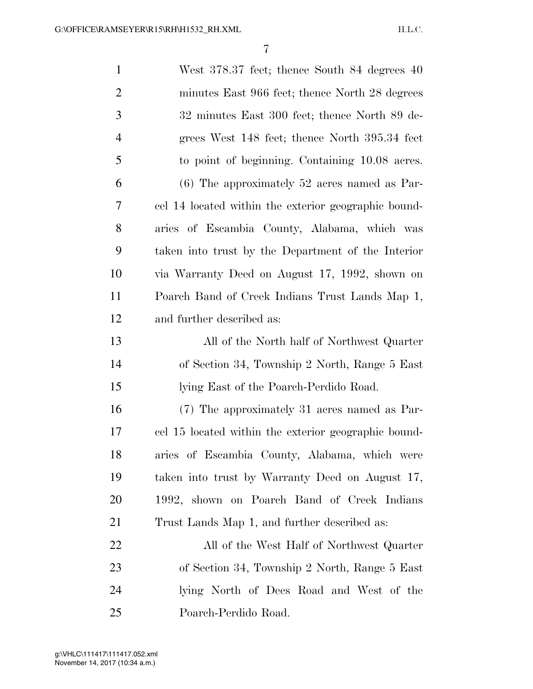| $\mathbf{1}$   | West 378.37 feet; thence South 84 degrees 40         |
|----------------|------------------------------------------------------|
| $\overline{2}$ | minutes East 966 feet; thence North 28 degrees       |
| 3              | 32 minutes East 300 feet; thence North 89 de-        |
| $\overline{4}$ | grees West 148 feet; thence North 395.34 feet        |
| 5              | to point of beginning. Containing 10.08 acres.       |
| 6              | $(6)$ The approximately 52 acres named as Par-       |
| 7              | cel 14 located within the exterior geographic bound- |
| 8              | aries of Escambia County, Alabama, which was         |
| 9              | taken into trust by the Department of the Interior   |
| 10             | via Warranty Deed on August 17, 1992, shown on       |
| 11             | Poarch Band of Creek Indians Trust Lands Map 1,      |
| 12             | and further described as:                            |
| 13             | All of the North half of Northwest Quarter           |
| 14             | of Section 34, Township 2 North, Range 5 East        |
| 15             | lying East of the Poarch-Perdido Road.               |
| 16             | (7) The approximately 31 acres named as Par-         |
| 17             | cel 15 located within the exterior geographic bound- |
| 18             | aries of Escambia County, Alabama, which were        |
| 19             | taken into trust by Warranty Deed on August 17,      |
| 20             | 1992, shown on Poarch Band of Creek Indians          |
| 21             | Trust Lands Map 1, and further described as:         |
| 22             | All of the West Half of Northwest Quarter            |
| 23             | of Section 34, Township 2 North, Range 5 East        |
| 24             | lying North of Dees Road and West of the             |
| 25             | Poarch-Perdido Road.                                 |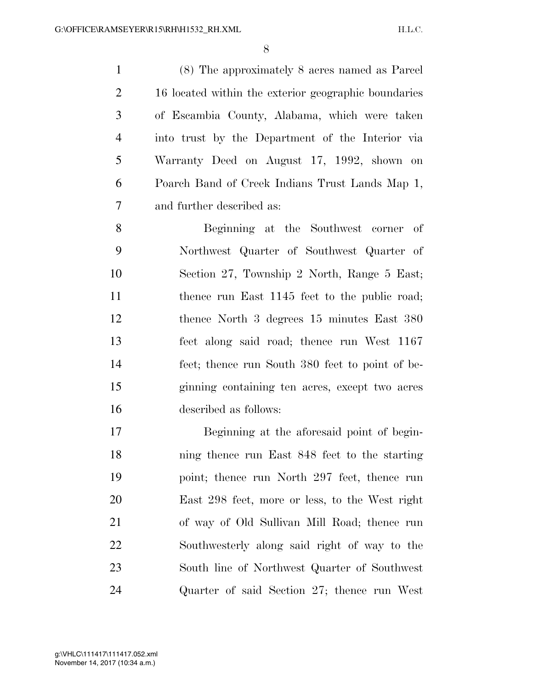(8) The approximately 8 acres named as Parcel 16 located within the exterior geographic boundaries of Escambia County, Alabama, which were taken into trust by the Department of the Interior via Warranty Deed on August 17, 1992, shown on Poarch Band of Creek Indians Trust Lands Map 1, and further described as:

 Beginning at the Southwest corner of Northwest Quarter of Southwest Quarter of Section 27, Township 2 North, Range 5 East; 11 thence run East 1145 feet to the public road; thence North 3 degrees 15 minutes East 380 feet along said road; thence run West 1167 feet; thence run South 380 feet to point of be- ginning containing ten acres, except two acres described as follows:

 Beginning at the aforesaid point of begin- ning thence run East 848 feet to the starting point; thence run North 297 feet, thence run East 298 feet, more or less, to the West right of way of Old Sullivan Mill Road; thence run Southwesterly along said right of way to the South line of Northwest Quarter of Southwest Quarter of said Section 27; thence run West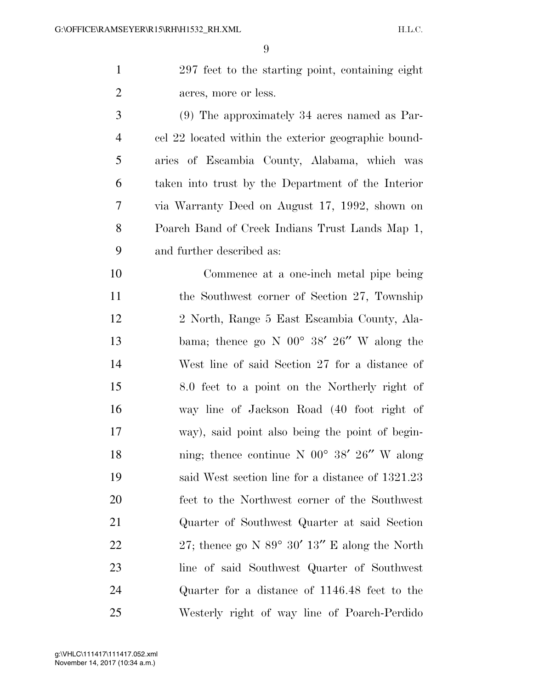|    | 297 feet to the starting point, containing eight     |
|----|------------------------------------------------------|
|    | acres, more or less.                                 |
| -3 | $(9)$ The approximately 34 acres named as Par-       |
|    | cel 22 located within the exterior geographic bound- |
|    |                                                      |

 aries of Escambia County, Alabama, which was taken into trust by the Department of the Interior via Warranty Deed on August 17, 1992, shown on Poarch Band of Creek Indians Trust Lands Map 1, and further described as:

 Commence at a one-inch metal pipe being the Southwest corner of Section 27, Township 2 North, Range 5 East Escambia County, Ala-13 bama; thence go N  $00^{\circ}$  38' 26" W along the West line of said Section 27 for a distance of 8.0 feet to a point on the Northerly right of way line of Jackson Road (40 foot right of way), said point also being the point of begin-18 ning; thence continue N 00° 38′ 26″ W along said West section line for a distance of 1321.23 feet to the Northwest corner of the Southwest Quarter of Southwest Quarter at said Section 22 27; thence go N  $89^{\circ}$  30'  $13''$  E along the North line of said Southwest Quarter of Southwest Quarter for a distance of 1146.48 feet to the Westerly right of way line of Poarch-Perdido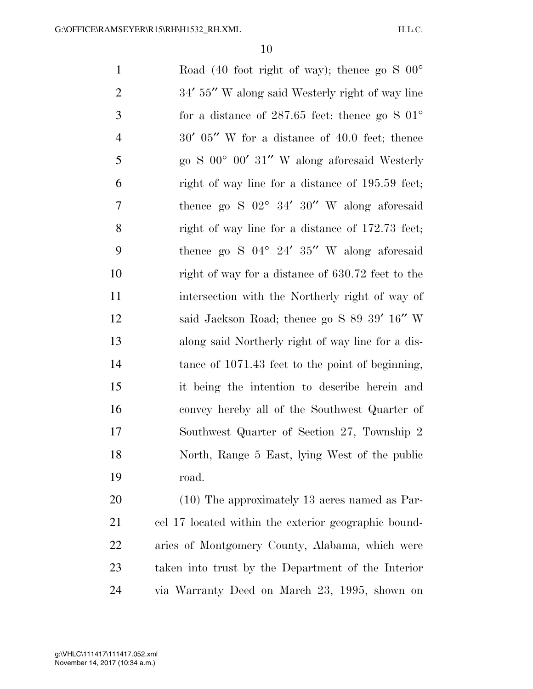1 Road (40 foot right of way); thence go S  $00^{\circ}$ 2 34′ 55″ W along said Westerly right of way line for a distance of 287.65 feet: thence go S 01° 30′ 05′′ W for a distance of 40.0 feet; thence go S 00° 00′ 31′′ W along aforesaid Westerly right of way line for a distance of 195.59 feet; thence go S 02° 34′ 30′′ W along aforesaid right of way line for a distance of 172.73 feet; thence go S 04° 24′ 35′′ W along aforesaid right of way for a distance of 630.72 feet to the intersection with the Northerly right of way of 12 said Jackson Road; thence go S 89 39' 16" W along said Northerly right of way line for a dis-14 tance of 1071.43 feet to the point of beginning, it being the intention to describe herein and convey hereby all of the Southwest Quarter of Southwest Quarter of Section 27, Township 2 North, Range 5 East, lying West of the public road. (10) The approximately 13 acres named as Par-

 cel 17 located within the exterior geographic bound- aries of Montgomery County, Alabama, which were taken into trust by the Department of the Interior via Warranty Deed on March 23, 1995, shown on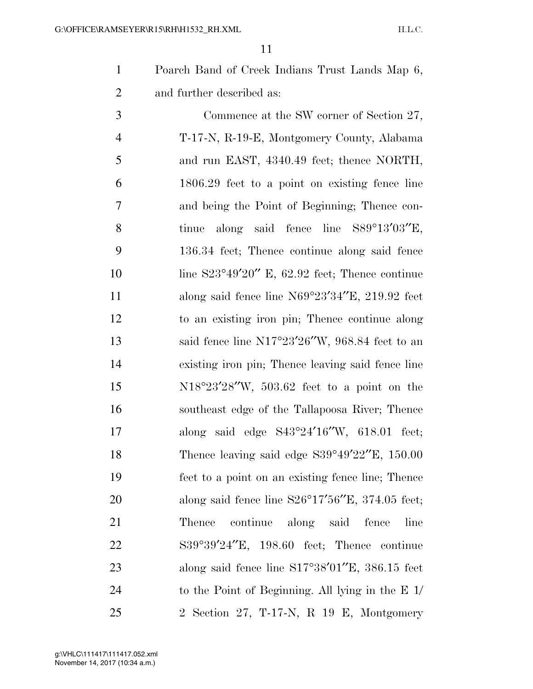Poarch Band of Creek Indians Trust Lands Map 6, and further described as:

 Commence at the SW corner of Section 27, T-17-N, R-19-E, Montgomery County, Alabama 5 and run EAST, 4340.49 feet; thence NORTH, 1806.29 feet to a point on existing fence line and being the Point of Beginning; Thence con- tinue along said fence line S89°13′03′′E, 136.34 feet; Thence continue along said fence 10 line S23°49'20" E, 62.92 feet; Thence continue 11 along said fence line N69°23′34″E, 219.92 feet to an existing iron pin; Thence continue along said fence line N17°23′26′′W, 968.84 feet to an existing iron pin; Thence leaving said fence line N18°23′28′′W, 503.62 feet to a point on the southeast edge of the Tallapoosa River; Thence along said edge S43°24′16′′W, 618.01 feet; 18 Thence leaving said edge S39°49'22"E, 150.00 feet to a point on an existing fence line; Thence along said fence line S26°17′56′′E, 374.05 feet; Thence continue along said fence line S39°39′24′′E, 198.60 feet; Thence continue 23 along said fence line S17°38'01"E, 386.15 feet to the Point of Beginning. All lying in the E 1/ 2 Section 27, T-17-N, R 19 E, Montgomery